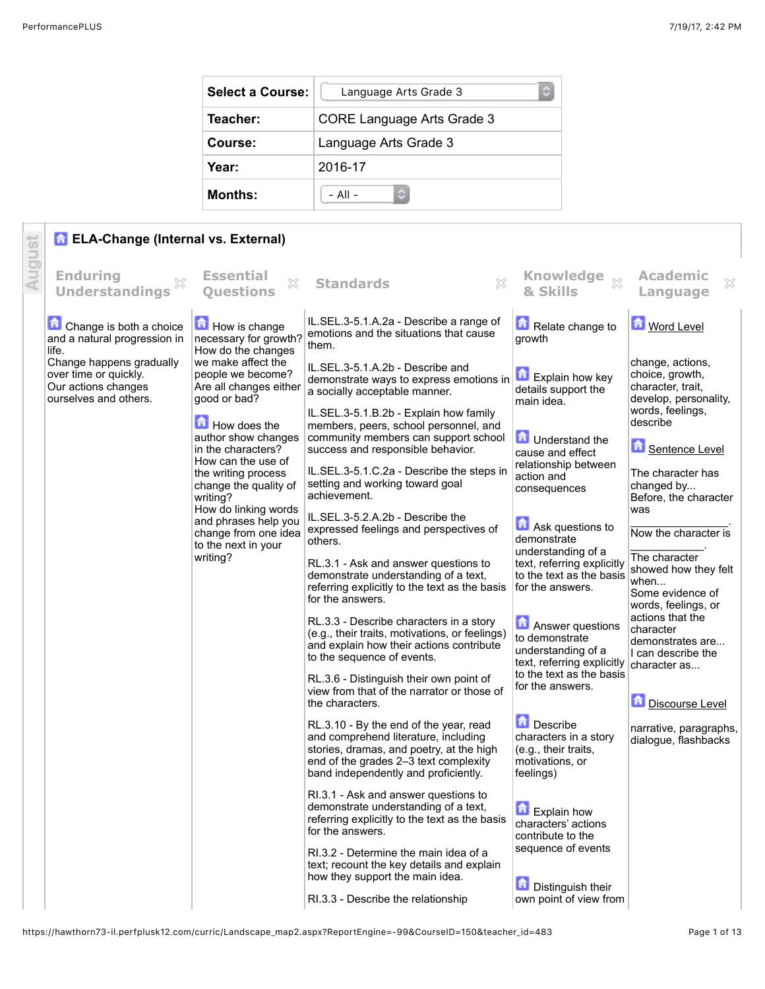| <b>Select a Course:</b> | ¢<br>Language Arts Grade 3        |
|-------------------------|-----------------------------------|
| Teacher:                | <b>CORE Language Arts Grade 3</b> |
| Course:                 | Language Arts Grade 3             |
| Year:                   | 2016-17                           |
| <b>Months:</b>          | $-$ All $-$                       |

## **R** ELA-Change (Internal vs. External)

|        | <b>R</b> ELA-Change (Internal vs. External)                                                       |                                                                                   |                                                                                                                                                                                                             |                                                                                               |                                                                                                       |  |
|--------|---------------------------------------------------------------------------------------------------|-----------------------------------------------------------------------------------|-------------------------------------------------------------------------------------------------------------------------------------------------------------------------------------------------------------|-----------------------------------------------------------------------------------------------|-------------------------------------------------------------------------------------------------------|--|
| August | <b>Enduring</b><br><b>Understandings</b>                                                          | <b>Essential</b><br>$\mathbb{S}^2$<br><b>Ouestions</b>                            | X<br><b>Standards</b>                                                                                                                                                                                       | Knowledge xx<br>& Skills                                                                      | <b>Academic</b><br>×<br>Language                                                                      |  |
|        | Change is both a choice<br>and a natural progression in<br>life.                                  | How is change<br>necessary for growth?<br>How do the changes                      | IL.SEL.3-5.1.A.2a - Describe a range of<br>emotions and the situations that cause<br>them.                                                                                                                  | Relate change to<br>growth                                                                    | <b>Mord Level</b>                                                                                     |  |
|        | Change happens gradually<br>over time or quickly.<br>Our actions changes<br>ourselves and others. | we make affect the<br>people we become?<br>Are all changes either<br>good or bad? | IL.SEL.3-5.1.A.2b - Describe and<br>demonstrate ways to express emotions in<br>a socially acceptable manner.<br>IL.SEL.3-5.1.B.2b - Explain how family                                                      | <b>Explain how key</b><br>details support the<br>main idea.                                   | change, actions,<br>choice, growth,<br>character, trait,<br>develop, personality,<br>words, feelings, |  |
|        |                                                                                                   | How does the<br>author show changes<br>in the characters?<br>How can the use of   | members, peers, school personnel, and<br>community members can support school<br>success and responsible behavior.                                                                                          | <b>D</b> Understand the<br>cause and effect<br>relationship between                           | describe<br>Sentence Level                                                                            |  |
|        |                                                                                                   | the writing process<br>change the quality of<br>writing?<br>How do linking words  | IL.SEL.3-5.1.C.2a - Describe the steps in<br>setting and working toward goal<br>achievement.                                                                                                                | action and<br>consequences                                                                    | The character has<br>changed by<br>Before, the character<br>was                                       |  |
|        |                                                                                                   | and phrases help you<br>change from one idea<br>to the next in your               | IL.SEL.3-5.2.A.2b - Describe the<br>expressed feelings and perspectives of<br>others.                                                                                                                       | <b>Ask questions to</b><br>demonstrate<br>understanding of a                                  | Now the character is<br>The character                                                                 |  |
|        |                                                                                                   | writing?                                                                          | RL.3.1 - Ask and answer questions to<br>demonstrate understanding of a text,<br>referring explicitly to the text as the basis<br>for the answers.                                                           | text, referring explicitly<br>to the text as the basis<br>for the answers.                    | showed how they felt<br>when<br>Some evidence of<br>words, feelings, or                               |  |
|        |                                                                                                   |                                                                                   | RL.3.3 - Describe characters in a story<br>(e.g., their traits, motivations, or feelings)<br>and explain how their actions contribute<br>to the sequence of events.                                         | <b>Answer questions</b><br>to demonstrate<br>understanding of a<br>text, referring explicitly | actions that the<br>character<br>demonstrates are<br>I can describe the<br>character as               |  |
|        |                                                                                                   |                                                                                   | RL.3.6 - Distinguish their own point of<br>view from that of the narrator or those of<br>the characters.                                                                                                    | to the text as the basis<br>for the answers.                                                  | Discourse Level                                                                                       |  |
|        |                                                                                                   |                                                                                   | RL.3.10 - By the end of the year, read<br>and comprehend literature, including<br>stories, dramas, and poetry, at the high<br>end of the grades 2-3 text complexity<br>band independently and proficiently. | Describe<br>characters in a story<br>(e.g., their traits,<br>motivations, or<br>feelings)     | narrative, paragraphs,<br>dialogue, flashbacks                                                        |  |
|        |                                                                                                   |                                                                                   | RI.3.1 - Ask and answer questions to<br>demonstrate understanding of a text,<br>referring explicitly to the text as the basis<br>for the answers.                                                           | <b>Explain how</b><br>characters' actions<br>contribute to the                                |                                                                                                       |  |
|        |                                                                                                   |                                                                                   | RI.3.2 - Determine the main idea of a<br>text; recount the key details and explain<br>how they support the main idea.                                                                                       | sequence of events<br>Distinguish their                                                       |                                                                                                       |  |
|        |                                                                                                   |                                                                                   | RI.3.3 - Describe the relationship                                                                                                                                                                          | own point of view from                                                                        |                                                                                                       |  |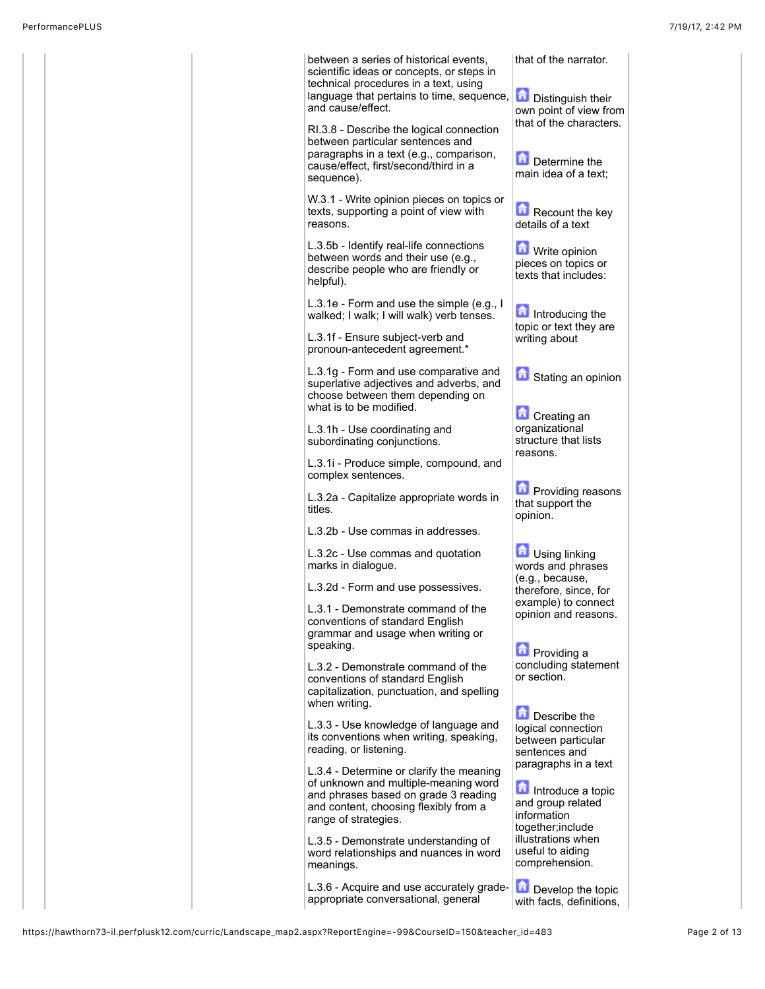|  | between a series of historical events,<br>scientific ideas or concepts, or steps in<br>technical procedures in a text, using                                      | that of the narrator.                                                         |
|--|-------------------------------------------------------------------------------------------------------------------------------------------------------------------|-------------------------------------------------------------------------------|
|  | language that pertains to time, sequence,<br>and cause/effect.                                                                                                    | <b>Distinguish their</b><br>own point of view from<br>that of the characters. |
|  | RI.3.8 - Describe the logical connection<br>between particular sentences and                                                                                      |                                                                               |
|  | paragraphs in a text (e.g., comparison,<br>cause/effect, first/second/third in a<br>sequence).                                                                    | Determine the<br>main idea of a text:                                         |
|  | W.3.1 - Write opinion pieces on topics or<br>texts, supporting a point of view with<br>reasons.                                                                   | Recount the key<br>details of a text                                          |
|  | L.3.5b - Identify real-life connections<br>between words and their use (e.g.,<br>describe people who are friendly or<br>helpful).                                 | Write opinion<br>pieces on topics or<br>texts that includes:                  |
|  | L.3.1e - Form and use the simple (e.g., I<br>walked; I walk; I will walk) verb tenses.                                                                            | Introducing the<br>topic or text they are                                     |
|  | L.3.1f - Ensure subject-verb and<br>pronoun-antecedent agreement.*                                                                                                | writing about                                                                 |
|  | L.3.1g - Form and use comparative and<br>superlative adjectives and adverbs, and<br>choose between them depending on                                              | Stating an opinion                                                            |
|  | what is to be modified.                                                                                                                                           | <b>D</b> Creating an                                                          |
|  | L.3.1h - Use coordinating and<br>subordinating conjunctions.                                                                                                      | organizational<br>structure that lists<br>reasons.                            |
|  | L.3.1i - Produce simple, compound, and<br>complex sentences.                                                                                                      |                                                                               |
|  | L.3.2a - Capitalize appropriate words in<br>titles.                                                                                                               | <b>D</b> Providing reasons<br>that support the<br>opinion.                    |
|  | L.3.2b - Use commas in addresses.                                                                                                                                 |                                                                               |
|  | L.3.2c - Use commas and quotation<br>marks in dialogue.                                                                                                           | Using linking<br>words and phrases                                            |
|  | L.3.2d - Form and use possessives.                                                                                                                                | (e.g., because,<br>therefore, since, for                                      |
|  | L.3.1 - Demonstrate command of the<br>conventions of standard English                                                                                             | example) to connect<br>opinion and reasons.                                   |
|  | grammar and usage when writing or<br>speaking.                                                                                                                    | <b>n</b> Providing a                                                          |
|  | L.3.2 - Demonstrate command of the<br>conventions of standard English<br>capitalization, punctuation, and spelling<br>when writing.                               | concluding statement<br>or section.                                           |
|  | L.3.3 - Use knowledge of language and<br>its conventions when writing, speaking,<br>reading, or listening.                                                        | Describe the<br>logical connection<br>between particular<br>sentences and     |
|  | L.3.4 - Determine or clarify the meaning<br>of unknown and multiple-meaning word<br>and phrases based on grade 3 reading<br>and content, choosing flexibly from a | paragraphs in a text<br>Introduce a topic<br>and group related                |
|  | range of strategies.                                                                                                                                              | information<br>together; include                                              |
|  | L.3.5 - Demonstrate understanding of<br>word relationships and nuances in word<br>meanings.                                                                       | illustrations when<br>useful to aiding<br>comprehension.                      |
|  | L.3.6 - Acquire and use accurately grade-<br>appropriate conversational, general                                                                                  | 습<br>Develop the topic<br>with facts, definitions,                            |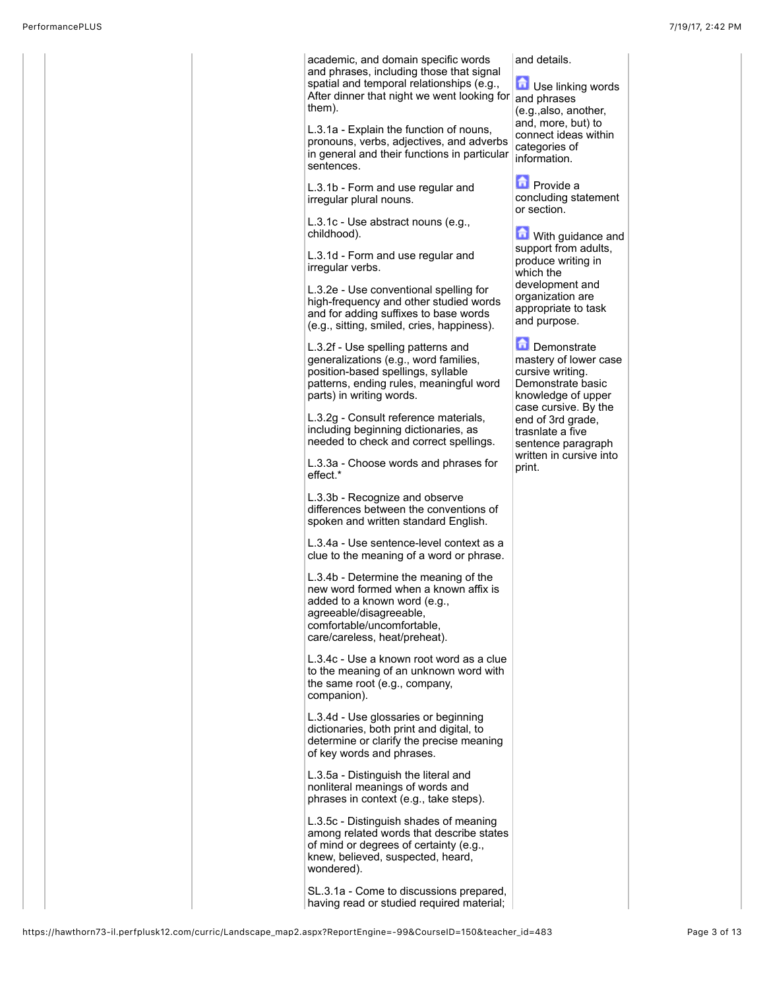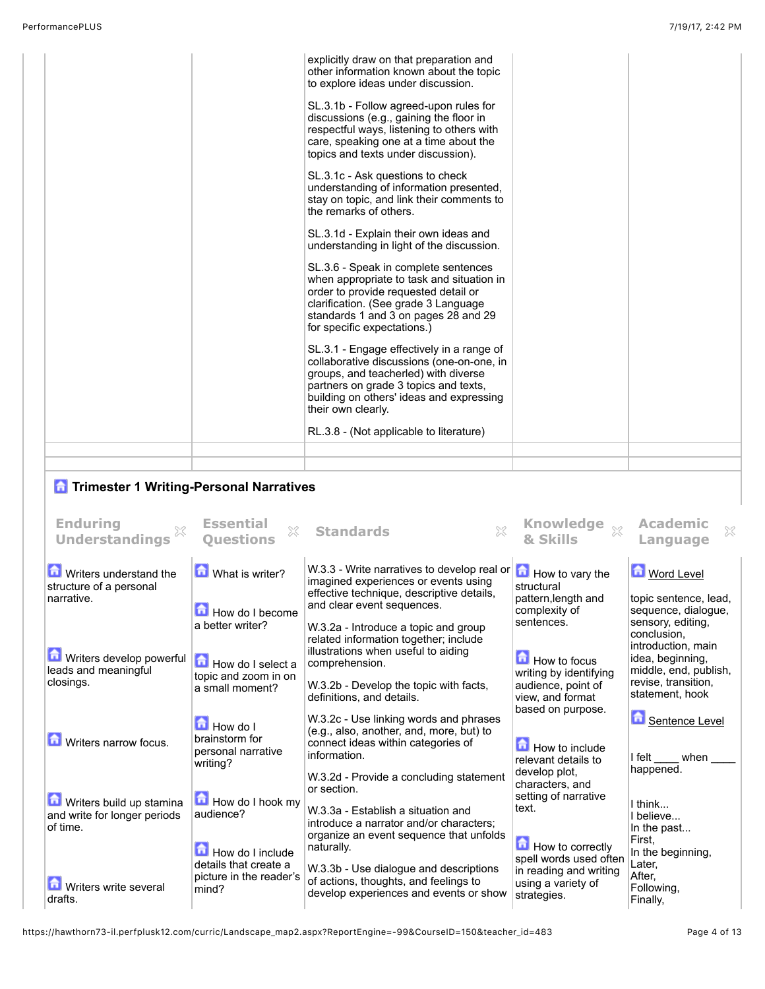| explicitly draw on that preparation and<br>other information known about the topic<br>to explore ideas under discussion.                                                                                                                  |  |
|-------------------------------------------------------------------------------------------------------------------------------------------------------------------------------------------------------------------------------------------|--|
| SL.3.1b - Follow agreed-upon rules for<br>discussions (e.g., gaining the floor in<br>respectful ways, listening to others with<br>care, speaking one at a time about the<br>topics and texts under discussion).                           |  |
| SL.3.1c - Ask questions to check<br>understanding of information presented,<br>stay on topic, and link their comments to<br>the remarks of others.                                                                                        |  |
| SL.3.1d - Explain their own ideas and<br>understanding in light of the discussion.                                                                                                                                                        |  |
| SL.3.6 - Speak in complete sentences<br>when appropriate to task and situation in<br>order to provide requested detail or<br>clarification. (See grade 3 Language<br>standards 1 and 3 on pages 28 and 29<br>for specific expectations.)  |  |
| SL.3.1 - Engage effectively in a range of<br>collaborative discussions (one-on-one, in<br>groups, and teacherled) with diverse<br>partners on grade 3 topics and texts,<br>building on others' ideas and expressing<br>their own clearly. |  |
| RL.3.8 - (Not applicable to literature)                                                                                                                                                                                                   |  |
|                                                                                                                                                                                                                                           |  |

## **n** Trimester 1 Writing-Personal Narratives

| <b>Enduring</b><br><b>Understandings</b>                             | <b>Essential</b><br>X<br><b>Ouestions</b>                                        | <b>Standards</b>                                                                                                                                                                                              | <b>Knowledge</b><br>$\chi$<br>& Skills                                                                | Academic<br>X<br>Language                                                                                                                     |
|----------------------------------------------------------------------|----------------------------------------------------------------------------------|---------------------------------------------------------------------------------------------------------------------------------------------------------------------------------------------------------------|-------------------------------------------------------------------------------------------------------|-----------------------------------------------------------------------------------------------------------------------------------------------|
| Writers understand the<br>structure of a personal<br>narrative.      | What is writer?<br><b>How do I become</b>                                        | W.3.3 - Write narratives to develop real or<br>imagined experiences or events using<br>effective technique, descriptive details,<br>and clear event sequences.                                                | $\left  \frac{1}{\Box} \right $ How to vary the<br>structural<br>pattern, length and<br>complexity of | <b>M</b> Word Level<br>topic sentence, lead,<br>sequence, dialogue,                                                                           |
| Writers develop powerful<br>leads and meaningful<br>closings.        | a better writer?<br>How do I select a<br>topic and zoom in on<br>a small moment? | W.3.2a - Introduce a topic and group<br>related information together; include<br>illustrations when useful to aiding<br>comprehension.<br>W.3.2b - Develop the topic with facts,<br>definitions, and details. | sentences.<br><b>How</b> to focus<br>writing by identifying<br>audience, point of<br>view, and format | sensory, editing,<br>conclusion,<br>introduction, main<br>idea, beginning,<br>middle, end, publish,<br>revise, transition,<br>statement, hook |
| <b>D</b> Writers narrow focus.                                       | $\Box$ How do I<br>brainstorm for<br>personal narrative<br>writing?              | W.3.2c - Use linking words and phrases<br>(e.g., also, another, and, more, but) to<br>connect ideas within categories of<br>information.                                                                      | based on purpose.<br>$\blacksquare$ How to include<br>relevant details to<br>develop plot.            | Sentence Level<br>I felt<br>when<br>happened.                                                                                                 |
| Writers build up stamina<br>and write for longer periods<br>of time. | How do I hook my<br>audience?<br>How do I include                                | W.3.2d - Provide a concluding statement<br>or section.<br>W.3.3a - Establish a situation and<br>introduce a narrator and/or characters:<br>organize an event sequence that unfolds<br>naturally.              | characters, and<br>setting of narrative<br>text.<br>How to correctly<br>spell words used often        | I think<br>I believe<br>In the past<br>First.<br>In the beginning,                                                                            |
| <b>M</b> Writers write several<br>drafts.                            | details that create a<br>picture in the reader's<br>mind?                        | W.3.3b - Use dialogue and descriptions<br>of actions, thoughts, and feelings to<br>develop experiences and events or show                                                                                     | in reading and writing<br>using a variety of<br>strategies.                                           | Later,<br>After,<br>Following,<br>Finally,                                                                                                    |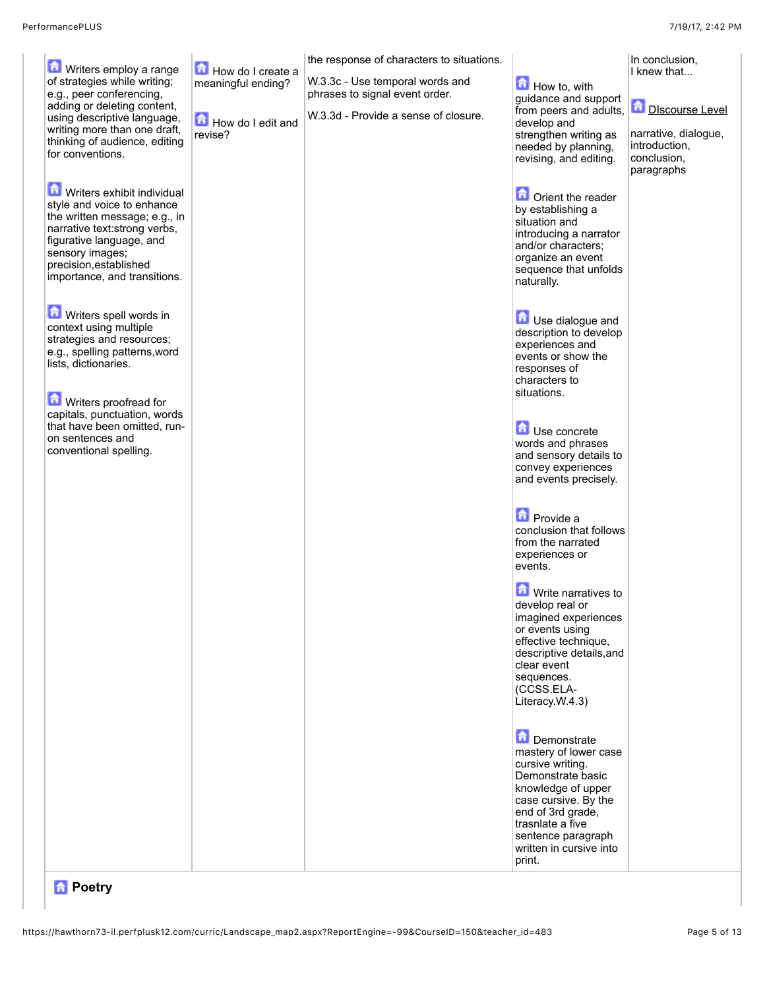| Writers employ a range<br>of strategies while writing;<br>e.g., peer conferencing,<br>adding or deleting content,<br>using descriptive language,<br>writing more than one draft,                                                    | How do I create a<br>meaningful ending?<br>How do I edit and<br>revise? | the response of characters to situations.<br>W.3.3c - Use temporal words and<br>phrases to signal event order.<br>W.3.3d - Provide a sense of closure. | $\blacksquare$ How to, with<br>guidance and support<br>from peers and adults,<br>develop and<br>strengthen writing as                                                                                                           | In conclusion,<br>I knew that<br>Discourse Level<br>narrative, dialogue, |
|-------------------------------------------------------------------------------------------------------------------------------------------------------------------------------------------------------------------------------------|-------------------------------------------------------------------------|--------------------------------------------------------------------------------------------------------------------------------------------------------|---------------------------------------------------------------------------------------------------------------------------------------------------------------------------------------------------------------------------------|--------------------------------------------------------------------------|
| thinking of audience, editing<br>for conventions.                                                                                                                                                                                   |                                                                         |                                                                                                                                                        | needed by planning,<br>revising, and editing.                                                                                                                                                                                   | introduction,<br>conclusion,<br>paragraphs                               |
| Writers exhibit individual<br>style and voice to enhance<br>the written message; e.g., in<br>narrative text: strong verbs,<br>figurative language, and<br>sensory images;<br>precision, established<br>importance, and transitions. |                                                                         |                                                                                                                                                        | <b>n</b> Orient the reader<br>by establishing a<br>situation and<br>introducing a narrator<br>and/or characters;<br>organize an event<br>sequence that unfolds<br>naturally.                                                    |                                                                          |
| Writers spell words in<br>context using multiple<br>strategies and resources;<br>e.g., spelling patterns, word<br>lists, dictionaries.<br>Writers proofread for                                                                     |                                                                         |                                                                                                                                                        | Use dialogue and<br>description to develop<br>experiences and<br>events or show the<br>responses of<br>characters to<br>situations.                                                                                             |                                                                          |
| capitals, punctuation, words<br>that have been omitted, run-<br>on sentences and<br>conventional spelling.                                                                                                                          |                                                                         |                                                                                                                                                        | <b>Li</b> Use concrete<br>words and phrases<br>and sensory details to<br>convey experiences<br>and events precisely.                                                                                                            |                                                                          |
|                                                                                                                                                                                                                                     |                                                                         |                                                                                                                                                        | <b>D</b> Provide a<br>conclusion that follows<br>from the narrated<br>experiences or<br>events.                                                                                                                                 |                                                                          |
|                                                                                                                                                                                                                                     |                                                                         |                                                                                                                                                        | Write narratives to<br>develop real or<br>imagined experiences<br>or events using<br>effective technique,<br>descriptive details, and<br>clear event<br>sequences.<br>(CCSS.ELA-<br>Literacy.W.4.3)                             |                                                                          |
|                                                                                                                                                                                                                                     |                                                                         |                                                                                                                                                        | Demonstrate<br>mastery of lower case<br>cursive writing.<br>Demonstrate basic<br>knowledge of upper<br>case cursive. By the<br>end of 3rd grade,<br>trasnlate a five<br>sentence paragraph<br>written in cursive into<br>print. |                                                                          |

## *<u><b>A</u>* Poetry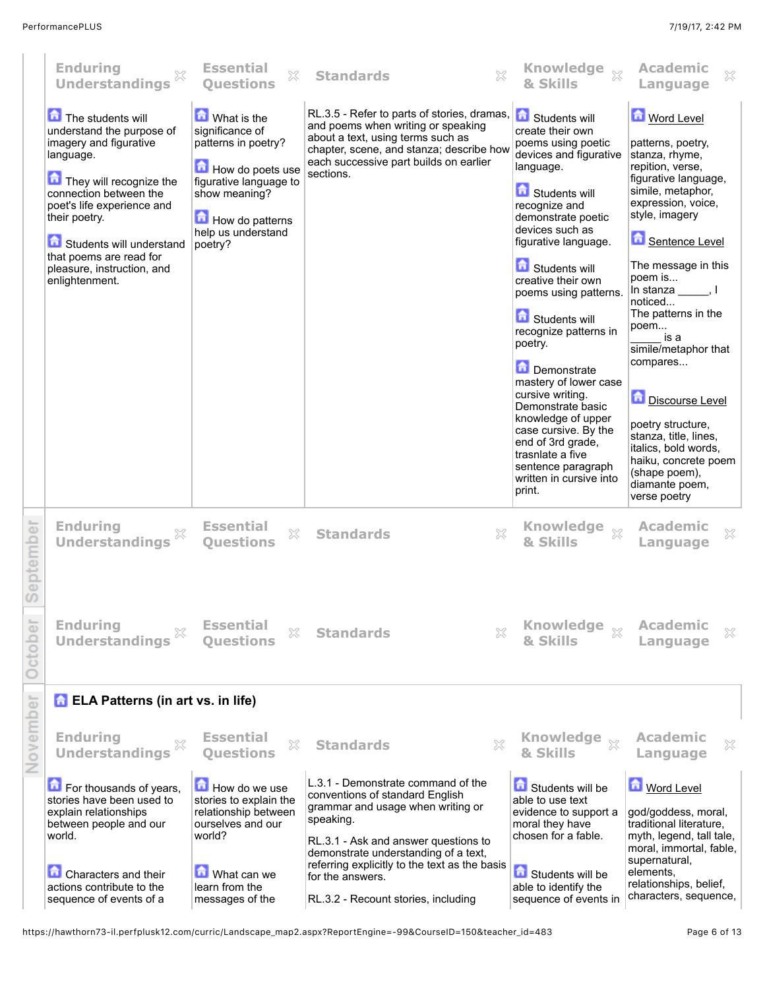|           | <b>Enduring</b><br><b>Understandings</b>                                                                                                                                                                                                                                                         | <b>Essential</b><br>$\mathbb{X}$<br><b>Ouestions</b>                                                                                                                     | $\gtrsim$<br><b>Standards</b>                                                                                                                                                                                             | Knowledge xx<br>& Skills                                                                                                                                                                                                                                                                                                                                                                                                                                                                                                                                  | <b>Academic</b><br>X<br>Language                                                                                                                                                                                                                                                                                                                                                                                                                                                                    |
|-----------|--------------------------------------------------------------------------------------------------------------------------------------------------------------------------------------------------------------------------------------------------------------------------------------------------|--------------------------------------------------------------------------------------------------------------------------------------------------------------------------|---------------------------------------------------------------------------------------------------------------------------------------------------------------------------------------------------------------------------|-----------------------------------------------------------------------------------------------------------------------------------------------------------------------------------------------------------------------------------------------------------------------------------------------------------------------------------------------------------------------------------------------------------------------------------------------------------------------------------------------------------------------------------------------------------|-----------------------------------------------------------------------------------------------------------------------------------------------------------------------------------------------------------------------------------------------------------------------------------------------------------------------------------------------------------------------------------------------------------------------------------------------------------------------------------------------------|
|           | The students will<br>understand the purpose of<br>imagery and figurative<br>language.<br>They will recognize the<br>connection between the<br>poet's life experience and<br>their poetry.<br>Students will understand<br>that poems are read for<br>pleasure, instruction, and<br>enlightenment. | What is the<br>significance of<br>patterns in poetry?<br>How do poets use<br>figurative language to<br>show meaning?<br>How do patterns<br>help us understand<br>poetry? | RL.3.5 - Refer to parts of stories, dramas,<br>and poems when writing or speaking<br>about a text, using terms such as<br>chapter, scene, and stanza; describe how<br>each successive part builds on earlier<br>sections. | Students will<br>create their own<br>poems using poetic<br>devices and figurative<br>language.<br>Students will<br>recognize and<br>demonstrate poetic<br>devices such as<br>figurative language.<br>Students will<br>creative their own<br>poems using patterns.<br>Students will<br>recognize patterns in<br>poetry.<br>Demonstrate<br>mastery of lower case<br>cursive writing.<br>Demonstrate basic<br>knowledge of upper<br>case cursive. By the<br>end of 3rd grade,<br>trasnlate a five<br>sentence paragraph<br>written in cursive into<br>print. | Word Level<br>patterns, poetry,<br>stanza, rhyme,<br>repition, verse,<br>figurative language,<br>simile, metaphor,<br>expression, voice,<br>style, imagery<br>Sentence Level<br>The message in this<br>poem is<br>In stanza $\_\_\_\$ , I<br>noticed<br>The patterns in the<br>poem<br>is a<br>simile/metaphor that<br>compares<br>Discourse Level<br>poetry structure,<br>stanza, title, lines,<br>italics, bold words,<br>haiku, concrete poem<br>(shape poem),<br>diamante poem,<br>verse poetry |
| September | <b>Enduring</b><br><b>Understandings</b>                                                                                                                                                                                                                                                         | <b>Essential</b><br>X<br><b>Questions</b>                                                                                                                                | <b>Standards</b><br>X                                                                                                                                                                                                     | <b>Knowledge</b><br>& Skills                                                                                                                                                                                                                                                                                                                                                                                                                                                                                                                              | <b>Academic</b><br>X<br>Language                                                                                                                                                                                                                                                                                                                                                                                                                                                                    |
| October   | <b>Enduring</b><br><b>Understandings</b>                                                                                                                                                                                                                                                         | <b>Essential</b><br>×<br><b>Ouestions</b>                                                                                                                                | X<br><b>Standards</b>                                                                                                                                                                                                     | <b>Knowledge</b><br>$^{22}$<br>& Skills                                                                                                                                                                                                                                                                                                                                                                                                                                                                                                                   | <b>Academic</b><br>X<br>Language                                                                                                                                                                                                                                                                                                                                                                                                                                                                    |
|           | <b>D</b> ELA Patterns (in art vs. in life)                                                                                                                                                                                                                                                       |                                                                                                                                                                          |                                                                                                                                                                                                                           |                                                                                                                                                                                                                                                                                                                                                                                                                                                                                                                                                           |                                                                                                                                                                                                                                                                                                                                                                                                                                                                                                     |
| November  | <b>Enduring</b><br><b>Understandings</b>                                                                                                                                                                                                                                                         | <b>Essential</b><br>X<br><b>Ouestions</b>                                                                                                                                | X<br><b>Standards</b>                                                                                                                                                                                                     | Knowledge xx<br>& Skills                                                                                                                                                                                                                                                                                                                                                                                                                                                                                                                                  | <b>Academic</b><br>X<br>Language                                                                                                                                                                                                                                                                                                                                                                                                                                                                    |
|           | For thousands of years,<br>stories have been used to<br>explain relationships<br>between people and our<br>world.                                                                                                                                                                                | How do we use<br>stories to explain the<br>relationship between<br>ourselves and our<br>world?                                                                           | L.3.1 - Demonstrate command of the<br>conventions of standard English<br>grammar and usage when writing or<br>speaking.<br>RL.3.1 - Ask and answer questions to<br>demonstrate understanding of a text,                   | Students will be<br>able to use text<br>evidence to support a<br>moral they have<br>chosen for a fable.                                                                                                                                                                                                                                                                                                                                                                                                                                                   | <b>Mord Level</b><br>god/goddess, moral,<br>traditional literature,<br>myth, legend, tall tale,<br>moral, immortal, fable,                                                                                                                                                                                                                                                                                                                                                                          |
|           | <b>Characters and their</b><br>actions contribute to the<br>sequence of events of a                                                                                                                                                                                                              | What can we<br>learn from the<br>messages of the                                                                                                                         | referring explicitly to the text as the basis<br>for the answers.<br>RL.3.2 - Recount stories, including                                                                                                                  | Students will be<br>able to identify the<br>sequence of events in                                                                                                                                                                                                                                                                                                                                                                                                                                                                                         | supernatural,<br>elements,<br>relationships, belief,<br>characters, sequence,                                                                                                                                                                                                                                                                                                                                                                                                                       |

https://hawthorn73-il.perfplusk12.com/curric/Landscape\_map2.aspx?ReportEngine=-99&CourseID=150&teacher\_id=483 Page 6 of 13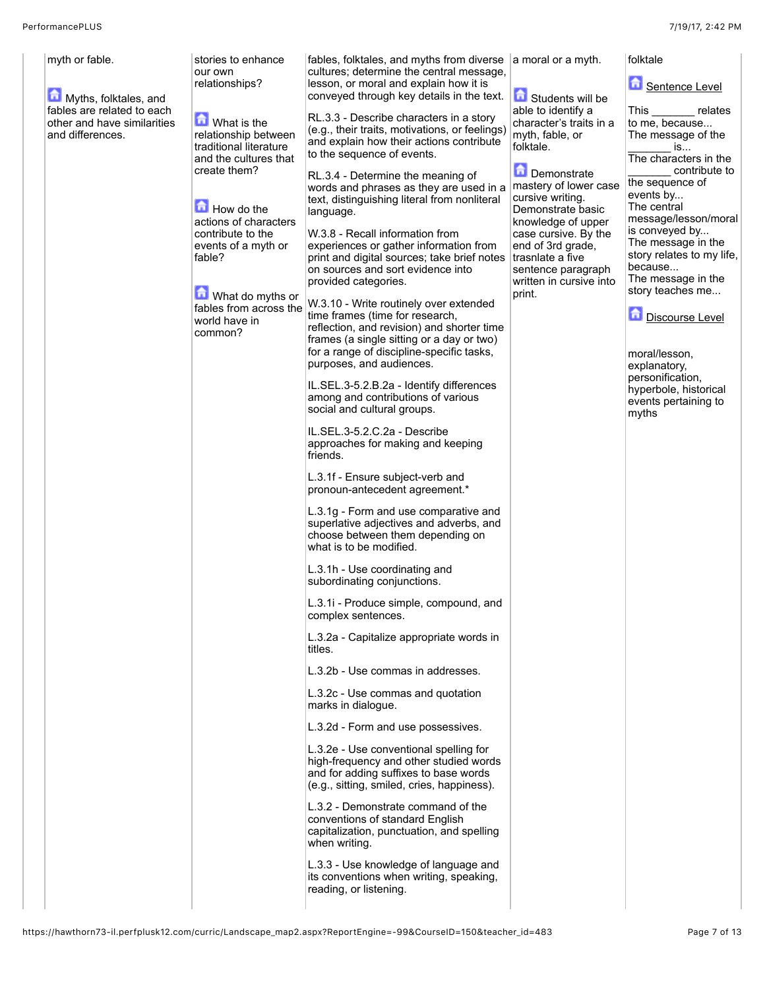| myth or fable.<br>Myths, folktales, and<br>fables are related to each<br>other and have similarities<br>and differences.<br>fable? | stories to enhance<br>our own<br>relationships?<br>What is the<br>relationship between<br>traditional literature<br>and the cultures that<br>create them?<br>How do the<br>actions of characters<br>contribute to the<br>events of a myth or<br>What do myths or<br>fables from across the<br>world have in<br>common? | fables, folktales, and myths from diverse<br>cultures; determine the central message,<br>lesson, or moral and explain how it is<br>conveyed through key details in the text.<br>RL.3.3 - Describe characters in a story<br>(e.g., their traits, motivations, or feelings)<br>and explain how their actions contribute<br>to the sequence of events.<br>RL.3.4 - Determine the meaning of<br>words and phrases as they are used in a<br>text, distinguishing literal from nonliteral<br>language.<br>W.3.8 - Recall information from<br>experiences or gather information from<br>print and digital sources; take brief notes<br>on sources and sort evidence into<br>provided categories.<br>W.3.10 - Write routinely over extended<br>time frames (time for research,<br>reflection, and revision) and shorter time<br>frames (a single sitting or a day or two)<br>for a range of discipline-specific tasks,<br>purposes, and audiences.<br>IL.SEL.3-5.2.B.2a - Identify differences<br>among and contributions of various<br>social and cultural groups.<br>IL.SEL.3-5.2.C.2a - Describe<br>approaches for making and keeping<br>friends.<br>L.3.1f - Ensure subject-verb and<br>pronoun-antecedent agreement.*<br>L.3.1g - Form and use comparative and<br>superlative adjectives and adverbs, and<br>choose between them depending on<br>what is to be modified.<br>L.3.1h - Use coordinating and<br>subordinating conjunctions.<br>L.3.1i - Produce simple, compound, and<br>complex sentences.<br>L.3.2a - Capitalize appropriate words in<br>titles.<br>L.3.2b - Use commas in addresses.<br>L.3.2c - Use commas and quotation<br>marks in dialogue.<br>L.3.2d - Form and use possessives.<br>L.3.2e - Use conventional spelling for<br>high-frequency and other studied words<br>and for adding suffixes to base words<br>(e.g., sitting, smiled, cries, happiness).<br>L.3.2 - Demonstrate command of the<br>conventions of standard English<br>capitalization, punctuation, and spelling<br>when writing.<br>L.3.3 - Use knowledge of language and<br>its conventions when writing, speaking,<br>reading, or listening. | a moral or a myth.<br>Students will be<br>able to identify a<br>character's traits in a<br>myth, fable, or<br>folktale.<br>Demonstrate<br>mastery of lower case<br>cursive writing.<br>Demonstrate basic<br>knowledge of upper<br>case cursive. By the<br>end of 3rd grade,<br>trasnlate a five<br>sentence paragraph<br>written in cursive into<br>print. | folktale<br>Sentence Level<br>This<br>relates<br>to me, because<br>The message of the<br>is<br>The characters in the<br>contribute to<br>the sequence of<br>events by<br>The central<br>message/lesson/moral<br>is conveyed by<br>The message in the<br>story relates to my life,<br>because<br>The message in the<br>story teaches me<br><b>Discourse Level</b><br>moral/lesson,<br>explanatory,<br>personification,<br>hyperbole, historical<br>events pertaining to<br>myths |
|------------------------------------------------------------------------------------------------------------------------------------|------------------------------------------------------------------------------------------------------------------------------------------------------------------------------------------------------------------------------------------------------------------------------------------------------------------------|------------------------------------------------------------------------------------------------------------------------------------------------------------------------------------------------------------------------------------------------------------------------------------------------------------------------------------------------------------------------------------------------------------------------------------------------------------------------------------------------------------------------------------------------------------------------------------------------------------------------------------------------------------------------------------------------------------------------------------------------------------------------------------------------------------------------------------------------------------------------------------------------------------------------------------------------------------------------------------------------------------------------------------------------------------------------------------------------------------------------------------------------------------------------------------------------------------------------------------------------------------------------------------------------------------------------------------------------------------------------------------------------------------------------------------------------------------------------------------------------------------------------------------------------------------------------------------------------------------------------------------------------------------------------------------------------------------------------------------------------------------------------------------------------------------------------------------------------------------------------------------------------------------------------------------------------------------------------------------------------------------------------------------------------------------------------------------------------------------------------------------|------------------------------------------------------------------------------------------------------------------------------------------------------------------------------------------------------------------------------------------------------------------------------------------------------------------------------------------------------------|---------------------------------------------------------------------------------------------------------------------------------------------------------------------------------------------------------------------------------------------------------------------------------------------------------------------------------------------------------------------------------------------------------------------------------------------------------------------------------|
|------------------------------------------------------------------------------------------------------------------------------------|------------------------------------------------------------------------------------------------------------------------------------------------------------------------------------------------------------------------------------------------------------------------------------------------------------------------|------------------------------------------------------------------------------------------------------------------------------------------------------------------------------------------------------------------------------------------------------------------------------------------------------------------------------------------------------------------------------------------------------------------------------------------------------------------------------------------------------------------------------------------------------------------------------------------------------------------------------------------------------------------------------------------------------------------------------------------------------------------------------------------------------------------------------------------------------------------------------------------------------------------------------------------------------------------------------------------------------------------------------------------------------------------------------------------------------------------------------------------------------------------------------------------------------------------------------------------------------------------------------------------------------------------------------------------------------------------------------------------------------------------------------------------------------------------------------------------------------------------------------------------------------------------------------------------------------------------------------------------------------------------------------------------------------------------------------------------------------------------------------------------------------------------------------------------------------------------------------------------------------------------------------------------------------------------------------------------------------------------------------------------------------------------------------------------------------------------------------------|------------------------------------------------------------------------------------------------------------------------------------------------------------------------------------------------------------------------------------------------------------------------------------------------------------------------------------------------------------|---------------------------------------------------------------------------------------------------------------------------------------------------------------------------------------------------------------------------------------------------------------------------------------------------------------------------------------------------------------------------------------------------------------------------------------------------------------------------------|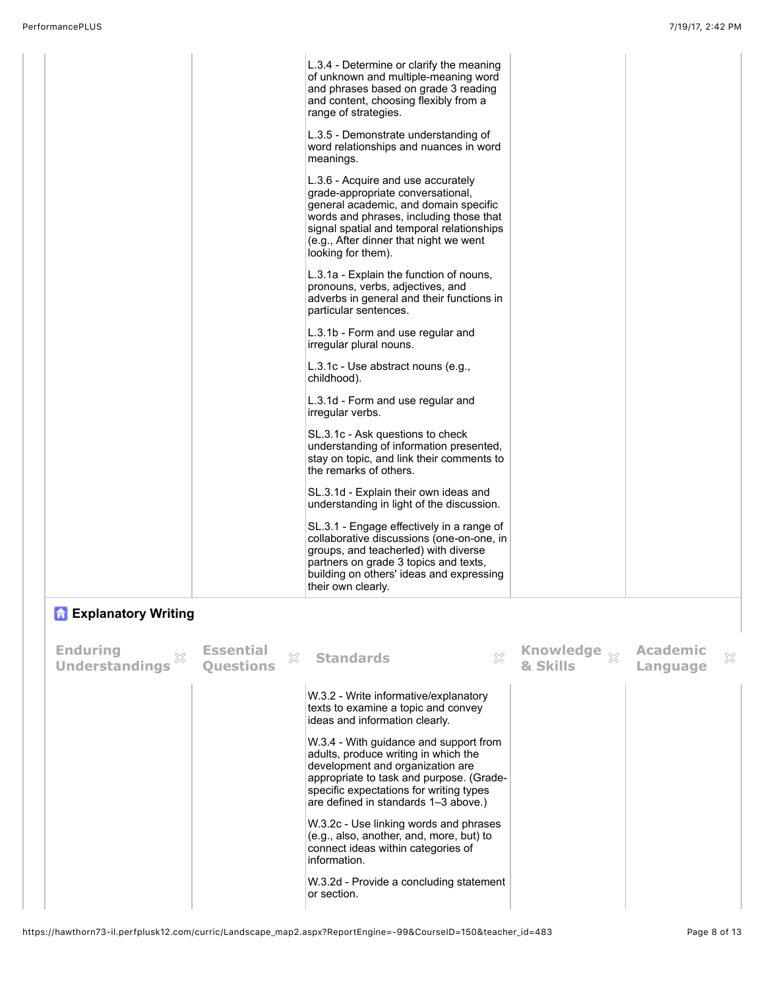|                                                          |                                           | L.3.4 - Determine or clarify the meaning<br>of unknown and multiple-meaning word<br>and phrases based on grade 3 reading<br>and content, choosing flexibly from a<br>range of strategies.                                                                                |                          |                             |   |
|----------------------------------------------------------|-------------------------------------------|--------------------------------------------------------------------------------------------------------------------------------------------------------------------------------------------------------------------------------------------------------------------------|--------------------------|-----------------------------|---|
|                                                          |                                           | L.3.5 - Demonstrate understanding of<br>word relationships and nuances in word<br>meanings.                                                                                                                                                                              |                          |                             |   |
|                                                          |                                           | L.3.6 - Acquire and use accurately<br>grade-appropriate conversational,<br>general academic, and domain specific<br>words and phrases, including those that<br>signal spatial and temporal relationships<br>(e.g., After dinner that night we went<br>looking for them). |                          |                             |   |
|                                                          |                                           | L.3.1a - Explain the function of nouns,<br>pronouns, verbs, adjectives, and<br>adverbs in general and their functions in<br>particular sentences.                                                                                                                        |                          |                             |   |
|                                                          |                                           | L.3.1b - Form and use regular and<br>irregular plural nouns.                                                                                                                                                                                                             |                          |                             |   |
|                                                          |                                           | L.3.1c - Use abstract nouns (e.g.,<br>childhood).                                                                                                                                                                                                                        |                          |                             |   |
|                                                          |                                           | L.3.1d - Form and use regular and<br>irregular verbs.                                                                                                                                                                                                                    |                          |                             |   |
|                                                          |                                           | SL.3.1c - Ask questions to check<br>understanding of information presented,<br>stay on topic, and link their comments to<br>the remarks of others.                                                                                                                       |                          |                             |   |
|                                                          |                                           | SL.3.1d - Explain their own ideas and<br>understanding in light of the discussion.                                                                                                                                                                                       |                          |                             |   |
|                                                          |                                           | SL.3.1 - Engage effectively in a range of<br>collaborative discussions (one-on-one, in<br>groups, and teacherled) with diverse<br>partners on grade 3 topics and texts,<br>building on others' ideas and expressing<br>their own clearly.                                |                          |                             |   |
| <b>T</b> Explanatory Writing                             |                                           |                                                                                                                                                                                                                                                                          |                          |                             |   |
| <b>Enduring</b><br>$\mathbb{X}$<br><b>Understandings</b> | <b>Essential</b><br>X<br><b>Ouestions</b> | X<br><b>Standards</b>                                                                                                                                                                                                                                                    | Knowledge xx<br>& Skills | <b>Academic</b><br>Language | X |

| <b>Understandings</b> | <b>Ouestions</b> | iN. | -standards                                                                                                                                                                                                                                        | w | & Skills | みさ | Language | w |
|-----------------------|------------------|-----|---------------------------------------------------------------------------------------------------------------------------------------------------------------------------------------------------------------------------------------------------|---|----------|----|----------|---|
|                       |                  |     | W.3.2 - Write informative/explanatory<br>texts to examine a topic and convey<br>ideas and information clearly.                                                                                                                                    |   |          |    |          |   |
|                       |                  |     | W.3.4 - With guidance and support from<br>adults, produce writing in which the<br>development and organization are<br>appropriate to task and purpose. (Grade-<br>specific expectations for writing types<br>are defined in standards 1-3 above.) |   |          |    |          |   |
|                       |                  |     | W.3.2c - Use linking words and phrases<br>(e.g., also, another, and, more, but) to<br>connect ideas within categories of<br>information.                                                                                                          |   |          |    |          |   |
|                       |                  |     | W.3.2d - Provide a concluding statement<br>or section.                                                                                                                                                                                            |   |          |    |          |   |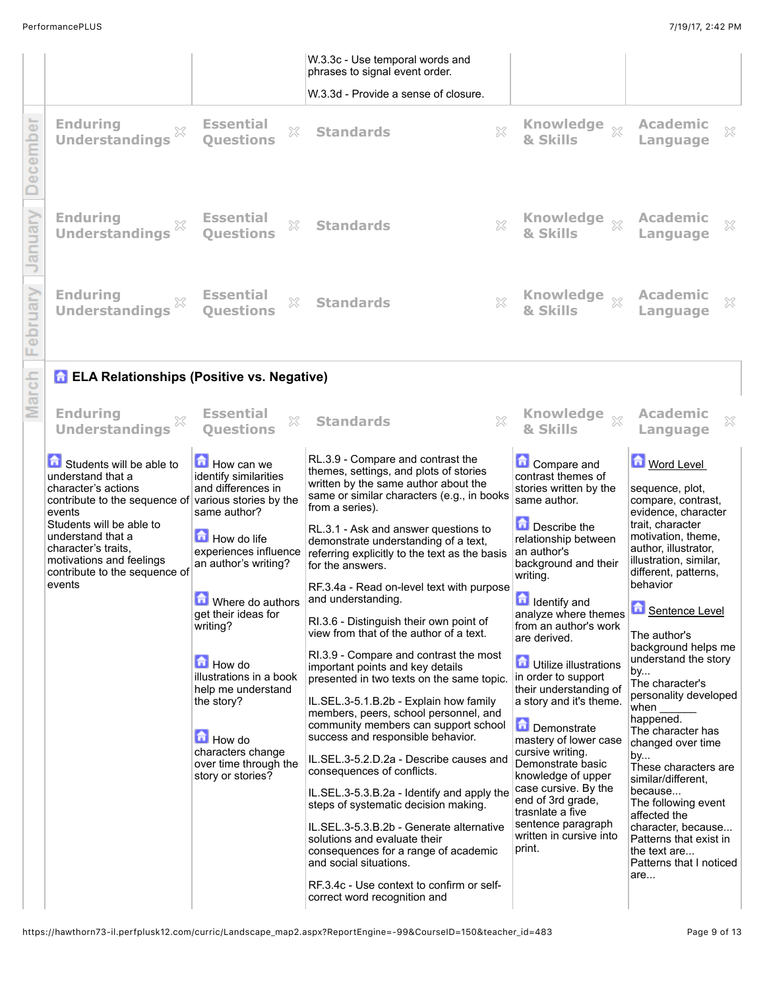|             |                                                                                                                                                                                                                                                                |                                                                                                                                                                                                                                                                                                                                                                                         | W.3.3c - Use temporal words and<br>phrases to signal event order.<br>W.3.3d - Provide a sense of closure.                                                                                                                                                                                                                                                                                                                                                                                                                                                                                                                                                                                                                                                                                                                                                                                                                                                                                                                                                                                                                                                                               |                                                                                                                                                                                                                                                                                                                                                                                                                                                                                                                                                                                                                          |                                                                                                                                                                                                                                                                                                                                                                                                                                                                                                                                                                                                                               |
|-------------|----------------------------------------------------------------------------------------------------------------------------------------------------------------------------------------------------------------------------------------------------------------|-----------------------------------------------------------------------------------------------------------------------------------------------------------------------------------------------------------------------------------------------------------------------------------------------------------------------------------------------------------------------------------------|-----------------------------------------------------------------------------------------------------------------------------------------------------------------------------------------------------------------------------------------------------------------------------------------------------------------------------------------------------------------------------------------------------------------------------------------------------------------------------------------------------------------------------------------------------------------------------------------------------------------------------------------------------------------------------------------------------------------------------------------------------------------------------------------------------------------------------------------------------------------------------------------------------------------------------------------------------------------------------------------------------------------------------------------------------------------------------------------------------------------------------------------------------------------------------------------|--------------------------------------------------------------------------------------------------------------------------------------------------------------------------------------------------------------------------------------------------------------------------------------------------------------------------------------------------------------------------------------------------------------------------------------------------------------------------------------------------------------------------------------------------------------------------------------------------------------------------|-------------------------------------------------------------------------------------------------------------------------------------------------------------------------------------------------------------------------------------------------------------------------------------------------------------------------------------------------------------------------------------------------------------------------------------------------------------------------------------------------------------------------------------------------------------------------------------------------------------------------------|
| cember<br>œ | <b>Enduring</b><br>×<br><b>Understandings</b>                                                                                                                                                                                                                  | <b>Essential</b><br>×<br><b>Ouestions</b>                                                                                                                                                                                                                                                                                                                                               | $\chi$<br><b>Standards</b>                                                                                                                                                                                                                                                                                                                                                                                                                                                                                                                                                                                                                                                                                                                                                                                                                                                                                                                                                                                                                                                                                                                                                              | Knowledge xx<br>& Skills                                                                                                                                                                                                                                                                                                                                                                                                                                                                                                                                                                                                 | <b>Academic</b><br>×<br>Language                                                                                                                                                                                                                                                                                                                                                                                                                                                                                                                                                                                              |
| anuary      | <b>Enduring</b><br>X<br><b>Understandings</b>                                                                                                                                                                                                                  | <b>Essential</b><br>X<br><b>Ouestions</b>                                                                                                                                                                                                                                                                                                                                               | X<br><b>Standards</b>                                                                                                                                                                                                                                                                                                                                                                                                                                                                                                                                                                                                                                                                                                                                                                                                                                                                                                                                                                                                                                                                                                                                                                   | Knowledge xx<br>& Skills                                                                                                                                                                                                                                                                                                                                                                                                                                                                                                                                                                                                 | <b>Academic</b><br>×<br>Language                                                                                                                                                                                                                                                                                                                                                                                                                                                                                                                                                                                              |
| oruary      | <b>Enduring</b><br><b>Understandings</b>                                                                                                                                                                                                                       | <b>Essential</b><br>X<br><b>Ouestions</b>                                                                                                                                                                                                                                                                                                                                               | $\chi$<br><b>Standards</b>                                                                                                                                                                                                                                                                                                                                                                                                                                                                                                                                                                                                                                                                                                                                                                                                                                                                                                                                                                                                                                                                                                                                                              | <b>Knowledge</b><br>$^{22}$<br>& Skills                                                                                                                                                                                                                                                                                                                                                                                                                                                                                                                                                                                  | Academic<br>×<br>Language                                                                                                                                                                                                                                                                                                                                                                                                                                                                                                                                                                                                     |
|             | <b>A ELA Relationships (Positive vs. Negative)</b>                                                                                                                                                                                                             |                                                                                                                                                                                                                                                                                                                                                                                         |                                                                                                                                                                                                                                                                                                                                                                                                                                                                                                                                                                                                                                                                                                                                                                                                                                                                                                                                                                                                                                                                                                                                                                                         |                                                                                                                                                                                                                                                                                                                                                                                                                                                                                                                                                                                                                          |                                                                                                                                                                                                                                                                                                                                                                                                                                                                                                                                                                                                                               |
| arc         | <b>Enduring</b><br><b>Understandings</b>                                                                                                                                                                                                                       | <b>Essential</b><br>×<br><b>Ouestions</b>                                                                                                                                                                                                                                                                                                                                               | $\chi$<br><b>Standards</b>                                                                                                                                                                                                                                                                                                                                                                                                                                                                                                                                                                                                                                                                                                                                                                                                                                                                                                                                                                                                                                                                                                                                                              | <b>Knowledge</b><br>$\chi$<br>& Skills                                                                                                                                                                                                                                                                                                                                                                                                                                                                                                                                                                                   | <b>Academic</b><br>X<br>Language                                                                                                                                                                                                                                                                                                                                                                                                                                                                                                                                                                                              |
|             | Students will be able to<br>understand that a<br>character's actions<br>contribute to the sequence of<br>events<br>Students will be able to<br>understand that a<br>character's traits.<br>motivations and feelings<br>contribute to the sequence of<br>events | How can we<br>identify similarities<br>and differences in<br>various stories by the<br>same author?<br>How do life<br>experiences influence<br>an author's writing?<br>Where do authors<br>get their ideas for<br>writing?<br><b>How do</b><br>illustrations in a book<br>help me understand<br>the story?<br>How do<br>characters change<br>over time through the<br>story or stories? | RL.3.9 - Compare and contrast the<br>themes, settings, and plots of stories<br>written by the same author about the<br>same or similar characters (e.g., in books<br>from a series).<br>RL.3.1 - Ask and answer questions to<br>demonstrate understanding of a text,<br>referring explicitly to the text as the basis<br>for the answers.<br>RF.3.4a - Read on-level text with purpose<br>and understanding.<br>RI.3.6 - Distinguish their own point of<br>view from that of the author of a text.<br>RI.3.9 - Compare and contrast the most<br>important points and key details<br>presented in two texts on the same topic.<br>IL.SEL.3-5.1.B.2b - Explain how family<br>members, peers, school personnel, and<br>community members can support school<br>success and responsible behavior.<br>IL.SEL.3-5.2.D.2a - Describe causes and<br>consequences of conflicts.<br>IL.SEL.3-5.3.B.2a - Identify and apply the<br>steps of systematic decision making.<br>IL.SEL.3-5.3.B.2b - Generate alternative<br>solutions and evaluate their<br>consequences for a range of academic<br>and social situations.<br>RF.3.4c - Use context to confirm or self-<br>correct word recognition and | <b>Compare and</b><br>contrast themes of<br>stories written by the<br>same author.<br>Describe the<br>relationship between<br>an author's<br>background and their<br>writing.<br><b>n</b> Identify and<br>analyze where themes<br>from an author's work<br>are derived.<br><b>d</b> Utilize illustrations<br>in order to support<br>their understanding of<br>a story and it's theme.<br>Demonstrate<br>mastery of lower case<br>cursive writing.<br>Demonstrate basic<br>knowledge of upper<br>case cursive. By the<br>end of 3rd grade,<br>trasnlate a five<br>sentence paragraph<br>written in cursive into<br>print. | Word Level<br>sequence, plot,<br>compare, contrast,<br>evidence, character<br>trait, character<br>motivation, theme,<br>author, illustrator,<br>illustration, similar,<br>different, patterns,<br>behavior<br><b>D</b> Sentence Level<br>The author's<br>background helps me<br>understand the story<br>by<br>The character's<br>personality developed<br>when<br>happened.<br>The character has<br>changed over time<br>by<br>These characters are<br>similar/different.<br>because<br>The following event<br>affected the<br>character, because<br>Patterns that exist in<br>the text are<br>Patterns that I noticed<br>are |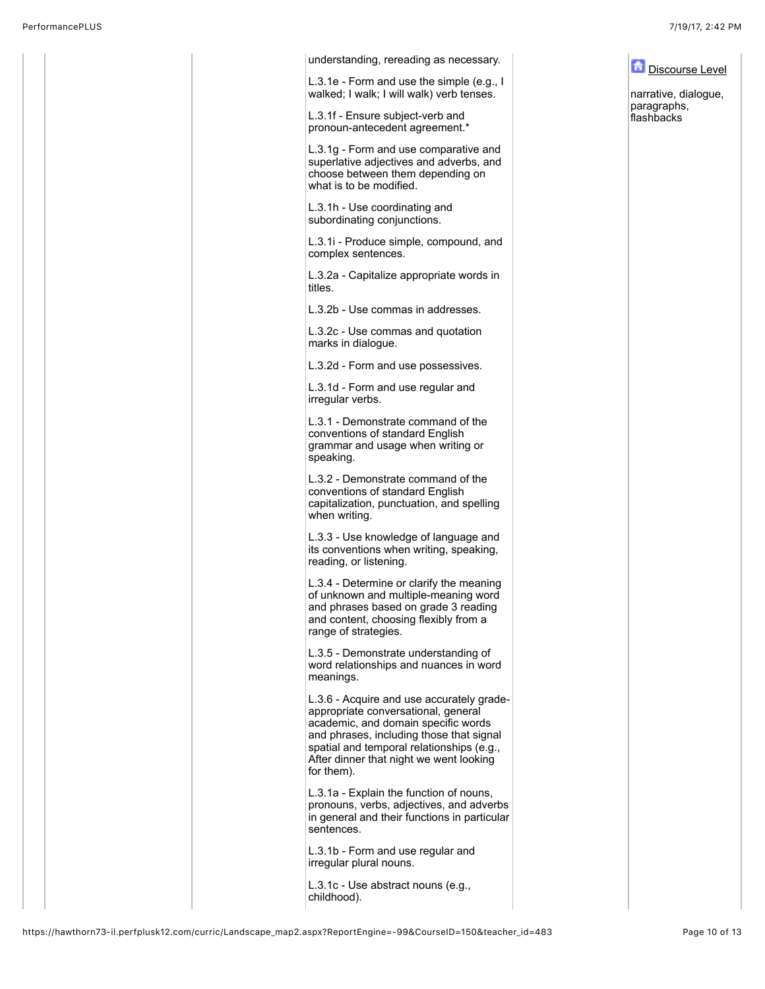| understanding, rereading as necessary.                                                                                                                                                                                                                                    | Discourse Level                     |
|---------------------------------------------------------------------------------------------------------------------------------------------------------------------------------------------------------------------------------------------------------------------------|-------------------------------------|
| L.3.1e - Form and use the simple (e.g., I<br>walked; I walk; I will walk) verb tenses.                                                                                                                                                                                    | narrative, dialogue,<br>paragraphs, |
| L.3.1f - Ensure subject-verb and<br>pronoun-antecedent agreement.*                                                                                                                                                                                                        | flashbacks                          |
| L.3.1g - Form and use comparative and<br>superlative adjectives and adverbs, and<br>choose between them depending on<br>what is to be modified.                                                                                                                           |                                     |
| L.3.1h - Use coordinating and<br>subordinating conjunctions.                                                                                                                                                                                                              |                                     |
| L.3.1i - Produce simple, compound, and<br>complex sentences.                                                                                                                                                                                                              |                                     |
| L.3.2a - Capitalize appropriate words in<br>titles.                                                                                                                                                                                                                       |                                     |
| L.3.2b - Use commas in addresses.                                                                                                                                                                                                                                         |                                     |
| L.3.2c - Use commas and quotation<br>marks in dialogue.                                                                                                                                                                                                                   |                                     |
| L.3.2d - Form and use possessives.                                                                                                                                                                                                                                        |                                     |
| L.3.1d - Form and use regular and<br>irregular verbs.                                                                                                                                                                                                                     |                                     |
| L.3.1 - Demonstrate command of the<br>conventions of standard English<br>grammar and usage when writing or<br>speaking.                                                                                                                                                   |                                     |
| L.3.2 - Demonstrate command of the<br>conventions of standard English<br>capitalization, punctuation, and spelling<br>when writing.                                                                                                                                       |                                     |
| L.3.3 - Use knowledge of language and<br>its conventions when writing, speaking,<br>reading, or listening.                                                                                                                                                                |                                     |
| L.3.4 - Determine or clarify the meaning<br>of unknown and multiple-meaning word<br>and phrases based on grade 3 reading<br>and content, choosing flexibly from a<br>range of strategies.                                                                                 |                                     |
| L.3.5 - Demonstrate understanding of<br>word relationships and nuances in word<br>meanings.                                                                                                                                                                               |                                     |
| L.3.6 - Acquire and use accurately grade-<br>appropriate conversational, general<br>academic, and domain specific words<br>and phrases, including those that signal<br>spatial and temporal relationships (e.g.,<br>After dinner that night we went looking<br>for them). |                                     |
| L.3.1a - Explain the function of nouns,<br>pronouns, verbs, adjectives, and adverbs<br>in general and their functions in particular<br>sentences.                                                                                                                         |                                     |
| L.3.1b - Form and use regular and<br>irregular plural nouns.                                                                                                                                                                                                              |                                     |
| L.3.1c - Use abstract nouns (e.g.,<br>childhood).                                                                                                                                                                                                                         |                                     |
|                                                                                                                                                                                                                                                                           |                                     |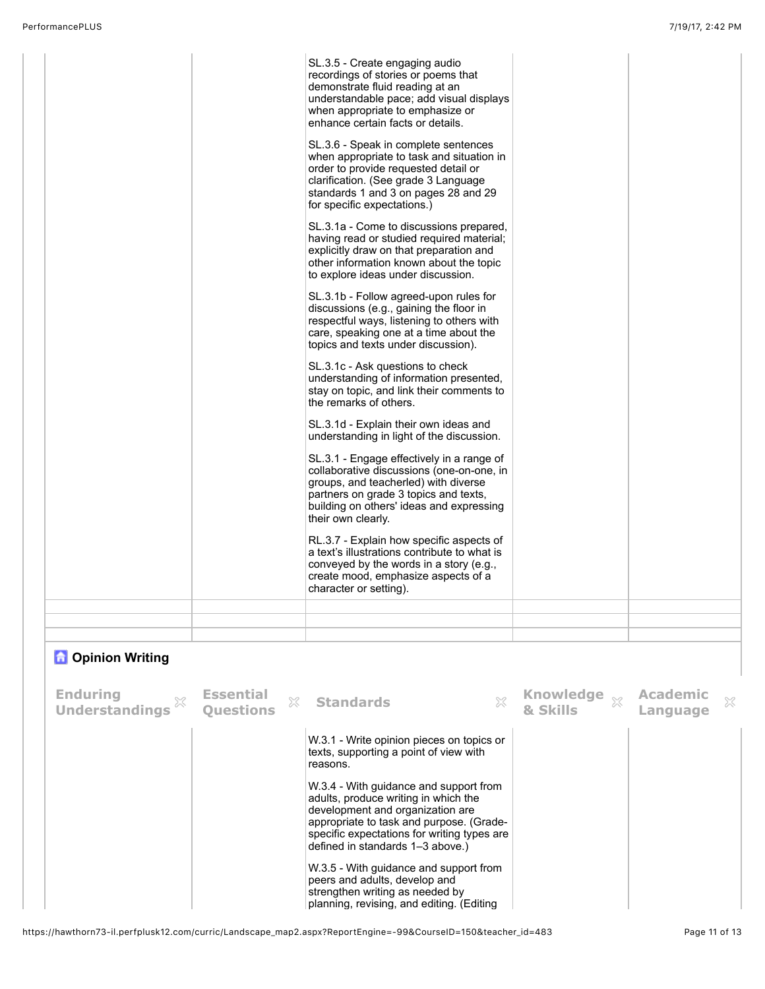| SL.3.5 - Create engaging audio<br>recordings of stories or poems that<br>demonstrate fluid reading at an<br>understandable pace; add visual displays<br>when appropriate to emphasize or<br>enhance certain facts or details.<br>SL.3.6 - Speak in complete sentences<br>when appropriate to task and situation in<br>order to provide requested detail or<br>clarification. (See grade 3 Language<br>standards 1 and 3 on pages 28 and 29<br>for specific expectations.)<br>SL.3.1a - Come to discussions prepared,<br>having read or studied required material;<br>explicitly draw on that preparation and<br>other information known about the topic<br>to explore ideas under discussion.<br>SL.3.1b - Follow agreed-upon rules for<br>discussions (e.g., gaining the floor in<br>respectful ways, listening to others with<br>care, speaking one at a time about the<br>topics and texts under discussion).<br>SL.3.1c - Ask questions to check<br>understanding of information presented,<br>stay on topic, and link their comments to<br>the remarks of others.<br>SL.3.1d - Explain their own ideas and<br>understanding in light of the discussion.<br>SL.3.1 - Engage effectively in a range of<br>collaborative discussions (one-on-one, in<br>groups, and teacherled) with diverse<br>partners on grade 3 topics and texts,<br>building on others' ideas and expressing<br>their own clearly.<br>RL.3.7 - Explain how specific aspects of<br>a text's illustrations contribute to what is<br>conveyed by the words in a story (e.g.,<br>create mood, emphasize aspects of a<br>character or setting). |  |
|-------------------------------------------------------------------------------------------------------------------------------------------------------------------------------------------------------------------------------------------------------------------------------------------------------------------------------------------------------------------------------------------------------------------------------------------------------------------------------------------------------------------------------------------------------------------------------------------------------------------------------------------------------------------------------------------------------------------------------------------------------------------------------------------------------------------------------------------------------------------------------------------------------------------------------------------------------------------------------------------------------------------------------------------------------------------------------------------------------------------------------------------------------------------------------------------------------------------------------------------------------------------------------------------------------------------------------------------------------------------------------------------------------------------------------------------------------------------------------------------------------------------------------------------------------------------------------------------------------------------|--|
|                                                                                                                                                                                                                                                                                                                                                                                                                                                                                                                                                                                                                                                                                                                                                                                                                                                                                                                                                                                                                                                                                                                                                                                                                                                                                                                                                                                                                                                                                                                                                                                                                   |  |

## **n** Opinion Writing

| Enduring<br>Understandings | <b>Essential</b><br>Questions | 33 | <b>Standards</b>                                                                                                                                                                                                                                                                                                                                     | X | Knowledge $\mathbb{R}$ Academic<br>& Skills | Language | X |
|----------------------------|-------------------------------|----|------------------------------------------------------------------------------------------------------------------------------------------------------------------------------------------------------------------------------------------------------------------------------------------------------------------------------------------------------|---|---------------------------------------------|----------|---|
|                            |                               |    | W.3.1 - Write opinion pieces on topics or<br>texts, supporting a point of view with<br>reasons.<br>W.3.4 - With guidance and support from<br>adults, produce writing in which the<br>development and organization are<br>appropriate to task and purpose. (Grade-<br>specific expectations for writing types are<br>defined in standards 1-3 above.) |   |                                             |          |   |
|                            |                               |    | W.3.5 - With guidance and support from<br>peers and adults, develop and<br>strengthen writing as needed by<br>planning, revising, and editing. (Editing                                                                                                                                                                                              |   |                                             |          |   |